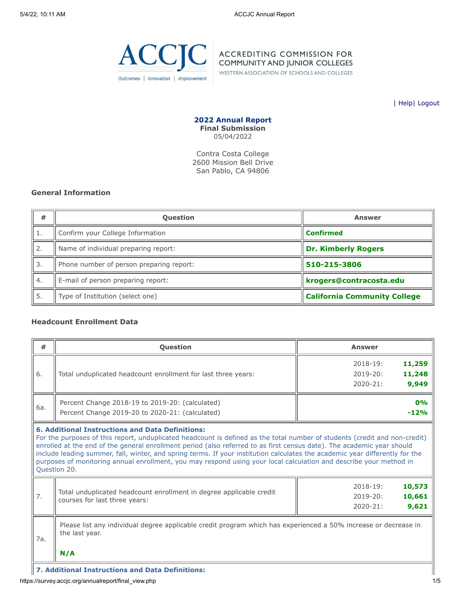

**ACCREDITING COMMISSION FOR COMMUNITY AND JUNIOR COLLEGES** 

WESTERN ASSOCIATION OF SCHOOLS AND COLLEGES

| [Help](javascript:newPopup()| [Logout](https://survey.accjc.org/annualreport/logout.php)

**2022 Annual Report Final Submission** 05/04/2022

Contra Costa College 2600 Mission Bell Drive San Pablo, CA 94806

### **General Information**

| #  | <b>Question</b>                          | <b>Answer</b>                       |
|----|------------------------------------------|-------------------------------------|
|    | Confirm your College Information         | <b>Confirmed</b>                    |
| 2. | Name of individual preparing report:     | <b>Dr. Kimberly Rogers</b>          |
| 3. | Phone number of person preparing report: | 510-215-3806                        |
| 4. | E-mail of person preparing report:       | krogers@contracosta.edu             |
| 5. | Type of Institution (select one)         | <b>California Community College</b> |

### **Headcount Enrollment Data**

| #                                                                                                                                                                                                                                                                                                                                                                                                                                                                                                                                                                                     | <b>Question</b>                                                                                                                          | <b>Answer</b>                                                             |  |  |  |  |
|---------------------------------------------------------------------------------------------------------------------------------------------------------------------------------------------------------------------------------------------------------------------------------------------------------------------------------------------------------------------------------------------------------------------------------------------------------------------------------------------------------------------------------------------------------------------------------------|------------------------------------------------------------------------------------------------------------------------------------------|---------------------------------------------------------------------------|--|--|--|--|
| 6.                                                                                                                                                                                                                                                                                                                                                                                                                                                                                                                                                                                    | Total unduplicated headcount enrollment for last three years:                                                                            | 11,259<br>$2018 - 19:$<br>11,248<br>$2019 - 20:$<br>9,949<br>$2020 - 21:$ |  |  |  |  |
| 6a.                                                                                                                                                                                                                                                                                                                                                                                                                                                                                                                                                                                   | Percent Change 2018-19 to 2019-20: (calculated)<br>Percent Change 2019-20 to 2020-21: (calculated)                                       | 0%<br>$-12%$                                                              |  |  |  |  |
| <b>6. Additional Instructions and Data Definitions:</b><br>For the purposes of this report, unduplicated headcount is defined as the total number of students (credit and non-credit)<br>enrolled at the end of the general enrollment period (also referred to as first census date). The academic year should<br>include leading summer, fall, winter, and spring terms. If your institution calculates the academic year differently for the<br>purposes of monitoring annual enrollment, you may respond using your local calculation and describe your method in<br>Question 20. |                                                                                                                                          |                                                                           |  |  |  |  |
| 7.                                                                                                                                                                                                                                                                                                                                                                                                                                                                                                                                                                                    | Total unduplicated headcount enrollment in degree applicable credit<br>courses for last three years:                                     | 10,573<br>$2018 - 19:$<br>10,661<br>$2019 - 20:$<br>9,621<br>$2020 - 21:$ |  |  |  |  |
| 7a.                                                                                                                                                                                                                                                                                                                                                                                                                                                                                                                                                                                   | Please list any individual degree applicable credit program which has experienced a 50% increase or decrease in<br>the last year.<br>N/A |                                                                           |  |  |  |  |

**7. Additional Instructions and Data Definitions:**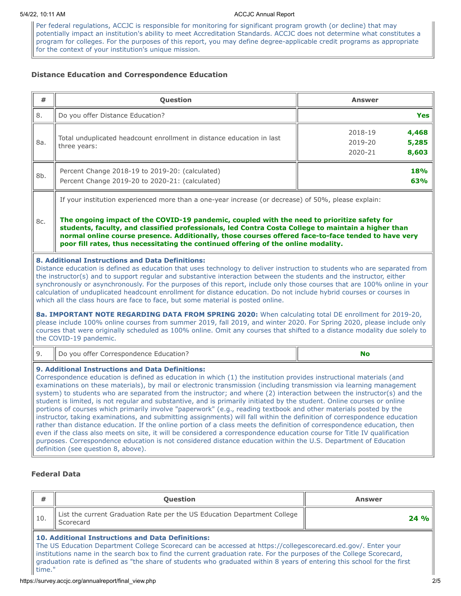#### 5/4/22, 10:11 AM ACCJC Annual Report

Per federal regulations, ACCJC is responsible for monitoring for significant program growth (or decline) that may potentially impact an institution's ability to meet Accreditation Standards. ACCJC does not determine what constitutes a program for colleges. For the purposes of this report, you may define degree-applicable credit programs as appropriate for the context of your institution's unique mission.

# **Distance Education and Correspondence Education**

| #                                                                                                                                                                                                                                                                                                                                                                                                                                                                                                                                                                                                                                                                                                                                                                                                                                                                                                                                                                                                                                                                                                                                                                                                                             | Question                                                                                                                                                                                                                                                                                                                                                                                        | <b>Answer</b>                                            |  |  |  |  |  |  |
|-------------------------------------------------------------------------------------------------------------------------------------------------------------------------------------------------------------------------------------------------------------------------------------------------------------------------------------------------------------------------------------------------------------------------------------------------------------------------------------------------------------------------------------------------------------------------------------------------------------------------------------------------------------------------------------------------------------------------------------------------------------------------------------------------------------------------------------------------------------------------------------------------------------------------------------------------------------------------------------------------------------------------------------------------------------------------------------------------------------------------------------------------------------------------------------------------------------------------------|-------------------------------------------------------------------------------------------------------------------------------------------------------------------------------------------------------------------------------------------------------------------------------------------------------------------------------------------------------------------------------------------------|----------------------------------------------------------|--|--|--|--|--|--|
| 8.                                                                                                                                                                                                                                                                                                                                                                                                                                                                                                                                                                                                                                                                                                                                                                                                                                                                                                                                                                                                                                                                                                                                                                                                                            | Do you offer Distance Education?                                                                                                                                                                                                                                                                                                                                                                | <b>Yes</b>                                               |  |  |  |  |  |  |
| 8a.                                                                                                                                                                                                                                                                                                                                                                                                                                                                                                                                                                                                                                                                                                                                                                                                                                                                                                                                                                                                                                                                                                                                                                                                                           | Total unduplicated headcount enrollment in distance education in last<br>three years:                                                                                                                                                                                                                                                                                                           | 2018-19<br>4,468<br>2019-20<br>5,285<br>2020-21<br>8,603 |  |  |  |  |  |  |
| 8b.                                                                                                                                                                                                                                                                                                                                                                                                                                                                                                                                                                                                                                                                                                                                                                                                                                                                                                                                                                                                                                                                                                                                                                                                                           | Percent Change 2018-19 to 2019-20: (calculated)<br>Percent Change 2019-20 to 2020-21: (calculated)                                                                                                                                                                                                                                                                                              | 18%<br>63%                                               |  |  |  |  |  |  |
|                                                                                                                                                                                                                                                                                                                                                                                                                                                                                                                                                                                                                                                                                                                                                                                                                                                                                                                                                                                                                                                                                                                                                                                                                               | If your institution experienced more than a one-year increase (or decrease) of 50%, please explain:                                                                                                                                                                                                                                                                                             |                                                          |  |  |  |  |  |  |
| 8c.                                                                                                                                                                                                                                                                                                                                                                                                                                                                                                                                                                                                                                                                                                                                                                                                                                                                                                                                                                                                                                                                                                                                                                                                                           | The ongoing impact of the COVID-19 pandemic, coupled with the need to prioritize safety for<br>students, faculty, and classified professionals, led Contra Costa College to maintain a higher than<br>normal online course presence. Additionally, those courses offered face-to-face tended to have very<br>poor fill rates, thus necessitating the continued offering of the online modality. |                                                          |  |  |  |  |  |  |
| 8. Additional Instructions and Data Definitions:<br>Distance education is defined as education that uses technology to deliver instruction to students who are separated from<br>the instructor(s) and to support regular and substantive interaction between the students and the instructor, either<br>synchronously or asynchronously. For the purposes of this report, include only those courses that are 100% online in your<br>calculation of unduplicated headcount enrollment for distance education. Do not include hybrid courses or courses in<br>which all the class hours are face to face, but some material is posted online.                                                                                                                                                                                                                                                                                                                                                                                                                                                                                                                                                                                 |                                                                                                                                                                                                                                                                                                                                                                                                 |                                                          |  |  |  |  |  |  |
| 8a. IMPORTANT NOTE REGARDING DATA FROM SPRING 2020: When calculating total DE enrollment for 2019-20,<br>please include 100% online courses from summer 2019, fall 2019, and winter 2020. For Spring 2020, please include only<br>courses that were originally scheduled as 100% online. Omit any courses that shifted to a distance modality due solely to<br>the COVID-19 pandemic.                                                                                                                                                                                                                                                                                                                                                                                                                                                                                                                                                                                                                                                                                                                                                                                                                                         |                                                                                                                                                                                                                                                                                                                                                                                                 |                                                          |  |  |  |  |  |  |
| 9.                                                                                                                                                                                                                                                                                                                                                                                                                                                                                                                                                                                                                                                                                                                                                                                                                                                                                                                                                                                                                                                                                                                                                                                                                            | Do you offer Correspondence Education?<br><b>No</b>                                                                                                                                                                                                                                                                                                                                             |                                                          |  |  |  |  |  |  |
| <b>9. Additional Instructions and Data Definitions:</b><br>Correspondence education is defined as education in which (1) the institution provides instructional materials (and<br>examinations on these materials), by mail or electronic transmission (including transmission via learning management<br>system) to students who are separated from the instructor; and where (2) interaction between the instructor(s) and the<br>student is limited, is not regular and substantive, and is primarily initiated by the student. Online courses or online<br>portions of courses which primarily involve "paperwork" (e.g., reading textbook and other materials posted by the<br>instructor, taking examinations, and submitting assignments) will fall within the definition of correspondence education<br>rather than distance education. If the online portion of a class meets the definition of correspondence education, then<br>even if the class also meets on site, it will be considered a correspondence education course for Title IV qualification<br>purposes. Correspondence education is not considered distance education within the U.S. Department of Education<br>definition (see question 8, above). |                                                                                                                                                                                                                                                                                                                                                                                                 |                                                          |  |  |  |  |  |  |

# **Federal Data**

time."

| #                                                                                                                     | <b>Ouestion</b>                                                                                                                                                                                                                          | <b>Answer</b> |  |  |  |  |  |
|-----------------------------------------------------------------------------------------------------------------------|------------------------------------------------------------------------------------------------------------------------------------------------------------------------------------------------------------------------------------------|---------------|--|--|--|--|--|
| -10.                                                                                                                  | List the current Graduation Rate per the US Education Department College<br>Scorecard                                                                                                                                                    | 24%           |  |  |  |  |  |
| 10. Additional Instructions and Data Definitions:                                                                     |                                                                                                                                                                                                                                          |               |  |  |  |  |  |
| I institutions name in the search box to find the current graduation rate. For the purposes of the College Scorecard, |                                                                                                                                                                                                                                          |               |  |  |  |  |  |
|                                                                                                                       | The US Education Department College Scorecard can be accessed at https://collegescorecard.ed.gov/. Enter your<br>graduation rate is defined as "the share of students who graduated within 8 years of entering this school for the first |               |  |  |  |  |  |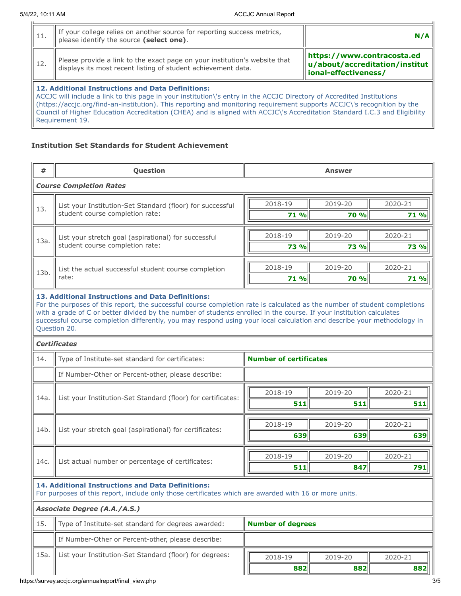Requirement 19.

| 11.                                                                                                                                                                                                                                                                                                                                                                                                                                        | If your college relies on another source for reporting success metrics,<br>please identify the source (select one).                         |                                                                                        |  |  |  |  |
|--------------------------------------------------------------------------------------------------------------------------------------------------------------------------------------------------------------------------------------------------------------------------------------------------------------------------------------------------------------------------------------------------------------------------------------------|---------------------------------------------------------------------------------------------------------------------------------------------|----------------------------------------------------------------------------------------|--|--|--|--|
| 12.                                                                                                                                                                                                                                                                                                                                                                                                                                        | Please provide a link to the exact page on your institution's website that<br>displays its most recent listing of student achievement data. | https://www.contracosta.ed<br>u/about/accreditation/institut  <br>ional-effectiveness/ |  |  |  |  |
| <b>12. Additional Instructions and Data Definitions:</b><br>ACCJC will include a link to this page in your institution\'s entry in the ACCJC Directory of Accredited Institutions<br>(https://accic.org/find-an-institution). This reporting and monitoring requirement supports ACCJC\'s recognition by the<br>Council of Higher Education Accreditation (CHEA) and is aligned with ACCJC\'s Accreditation Standard I.C.3 and Eligibility |                                                                                                                                             |                                                                                        |  |  |  |  |

# **Institution Set Standards for Student Achievement**

| #                                                                                                                                                                 | Question                                                                                                                                                                                                                                                                                                                                                                                                                                                 | <b>Answer</b>                 |             |         |  |  |  |
|-------------------------------------------------------------------------------------------------------------------------------------------------------------------|----------------------------------------------------------------------------------------------------------------------------------------------------------------------------------------------------------------------------------------------------------------------------------------------------------------------------------------------------------------------------------------------------------------------------------------------------------|-------------------------------|-------------|---------|--|--|--|
|                                                                                                                                                                   | <b>Course Completion Rates</b>                                                                                                                                                                                                                                                                                                                                                                                                                           |                               |             |         |  |  |  |
|                                                                                                                                                                   | List your Institution-Set Standard (floor) for successful                                                                                                                                                                                                                                                                                                                                                                                                | 2018-19                       | 2019-20     | 2020-21 |  |  |  |
| 13.                                                                                                                                                               | student course completion rate:                                                                                                                                                                                                                                                                                                                                                                                                                          | 71 %                          | <b>70 %</b> | 71 %    |  |  |  |
|                                                                                                                                                                   |                                                                                                                                                                                                                                                                                                                                                                                                                                                          | 2018-19                       | 2019-20     | 2020-21 |  |  |  |
| 13a.                                                                                                                                                              | List your stretch goal (aspirational) for successful<br>student course completion rate:                                                                                                                                                                                                                                                                                                                                                                  | 73 %                          | 73 %        | 73 %    |  |  |  |
|                                                                                                                                                                   |                                                                                                                                                                                                                                                                                                                                                                                                                                                          |                               |             |         |  |  |  |
| 13b.                                                                                                                                                              | List the actual successful student course completion                                                                                                                                                                                                                                                                                                                                                                                                     | 2018-19                       | 2019-20     | 2020-21 |  |  |  |
|                                                                                                                                                                   | rate:                                                                                                                                                                                                                                                                                                                                                                                                                                                    | 71 %                          | <b>70 %</b> | 71 %    |  |  |  |
|                                                                                                                                                                   | <b>13. Additional Instructions and Data Definitions:</b><br>For the purposes of this report, the successful course completion rate is calculated as the number of student completions<br>with a grade of C or better divided by the number of students enrolled in the course. If your institution calculates<br>successful course completion differently, you may respond using your local calculation and describe your methodology in<br>Question 20. |                               |             |         |  |  |  |
|                                                                                                                                                                   | <b>Certificates</b>                                                                                                                                                                                                                                                                                                                                                                                                                                      |                               |             |         |  |  |  |
| 14.                                                                                                                                                               | Type of Institute-set standard for certificates:                                                                                                                                                                                                                                                                                                                                                                                                         | <b>Number of certificates</b> |             |         |  |  |  |
|                                                                                                                                                                   | If Number-Other or Percent-other, please describe:                                                                                                                                                                                                                                                                                                                                                                                                       |                               |             |         |  |  |  |
| 14a.                                                                                                                                                              |                                                                                                                                                                                                                                                                                                                                                                                                                                                          | 2018-19                       | 2019-20     | 2020-21 |  |  |  |
|                                                                                                                                                                   | List your Institution-Set Standard (floor) for certificates:                                                                                                                                                                                                                                                                                                                                                                                             | 511                           | 511         | 511     |  |  |  |
|                                                                                                                                                                   | List your stretch goal (aspirational) for certificates:                                                                                                                                                                                                                                                                                                                                                                                                  | 2018-19                       | 2019-20     | 2020-21 |  |  |  |
| 14b.                                                                                                                                                              |                                                                                                                                                                                                                                                                                                                                                                                                                                                          | 639                           | 639         | 639     |  |  |  |
|                                                                                                                                                                   |                                                                                                                                                                                                                                                                                                                                                                                                                                                          | 2018-19                       | 2019-20     | 2020-21 |  |  |  |
| 14c.                                                                                                                                                              | List actual number or percentage of certificates:                                                                                                                                                                                                                                                                                                                                                                                                        | 511                           | 847         | 791     |  |  |  |
| <b>14. Additional Instructions and Data Definitions:</b><br>For purposes of this report, include only those certificates which are awarded with 16 or more units. |                                                                                                                                                                                                                                                                                                                                                                                                                                                          |                               |             |         |  |  |  |
|                                                                                                                                                                   | <b>Associate Degree (A.A./A.S.)</b>                                                                                                                                                                                                                                                                                                                                                                                                                      |                               |             |         |  |  |  |
| 15.                                                                                                                                                               | Type of Institute-set standard for degrees awarded:                                                                                                                                                                                                                                                                                                                                                                                                      | <b>Number of degrees</b>      |             |         |  |  |  |
|                                                                                                                                                                   | If Number-Other or Percent-other, please describe:                                                                                                                                                                                                                                                                                                                                                                                                       |                               |             |         |  |  |  |
| 15a.                                                                                                                                                              | List your Institution-Set Standard (floor) for degrees:                                                                                                                                                                                                                                                                                                                                                                                                  | 2018-19                       | 2019-20     | 2020-21 |  |  |  |
|                                                                                                                                                                   |                                                                                                                                                                                                                                                                                                                                                                                                                                                          | 882                           | 882         | 882     |  |  |  |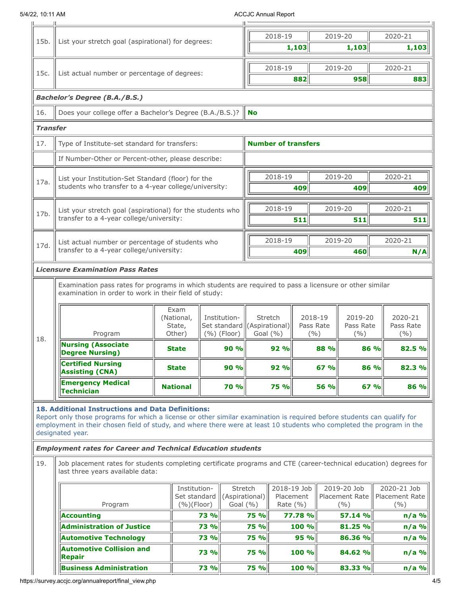## 5/4/22, 10:11 AM ACCJC Annual Report

|                 |                                                                                                                                                                                                                                                                                                                                                                                                  |                                                        |                                                                        |                                                           |                     | 2018-19                         |                                        |             | 2019-20                                      | 2020-21                                |                                         |  |
|-----------------|--------------------------------------------------------------------------------------------------------------------------------------------------------------------------------------------------------------------------------------------------------------------------------------------------------------------------------------------------------------------------------------------------|--------------------------------------------------------|------------------------------------------------------------------------|-----------------------------------------------------------|---------------------|---------------------------------|----------------------------------------|-------------|----------------------------------------------|----------------------------------------|-----------------------------------------|--|
| 15b.            | List your stretch goal (aspirational) for degrees:                                                                                                                                                                                                                                                                                                                                               |                                                        |                                                                        | 1,103                                                     |                     | 1,103                           |                                        |             | 1,103                                        |                                        |                                         |  |
|                 |                                                                                                                                                                                                                                                                                                                                                                                                  |                                                        |                                                                        |                                                           |                     |                                 |                                        |             |                                              |                                        |                                         |  |
| 15c.            | List actual number or percentage of degrees:                                                                                                                                                                                                                                                                                                                                                     |                                                        |                                                                        |                                                           | 2018-19             |                                 |                                        | 2019-20     | 2020-21                                      |                                        |                                         |  |
|                 |                                                                                                                                                                                                                                                                                                                                                                                                  |                                                        |                                                                        |                                                           |                     | 882                             | 958                                    |             |                                              | 883                                    |                                         |  |
|                 | <b>Bachelor's Degree (B.A./B.S.)</b>                                                                                                                                                                                                                                                                                                                                                             |                                                        |                                                                        |                                                           |                     |                                 |                                        |             |                                              |                                        |                                         |  |
| 16.             | Does your college offer a Bachelor's Degree (B.A./B.S.)?                                                                                                                                                                                                                                                                                                                                         |                                                        |                                                                        |                                                           | <b>No</b>           |                                 |                                        |             |                                              |                                        |                                         |  |
| <b>Transfer</b> |                                                                                                                                                                                                                                                                                                                                                                                                  |                                                        |                                                                        |                                                           |                     |                                 |                                        |             |                                              |                                        |                                         |  |
| 17.             | Type of Institute-set standard for transfers:                                                                                                                                                                                                                                                                                                                                                    |                                                        |                                                                        |                                                           |                     | <b>Number of transfers</b>      |                                        |             |                                              |                                        |                                         |  |
|                 | If Number-Other or Percent-other, please describe:                                                                                                                                                                                                                                                                                                                                               |                                                        |                                                                        |                                                           |                     |                                 |                                        |             |                                              |                                        |                                         |  |
|                 | List your Institution-Set Standard (floor) for the                                                                                                                                                                                                                                                                                                                                               |                                                        |                                                                        |                                                           |                     | 2018-19                         |                                        |             | 2019-20                                      | 2020-21                                |                                         |  |
| 17a.            | students who transfer to a 4-year college/university:                                                                                                                                                                                                                                                                                                                                            |                                                        |                                                                        |                                                           |                     |                                 | 409                                    |             | 409                                          |                                        | 409                                     |  |
|                 |                                                                                                                                                                                                                                                                                                                                                                                                  |                                                        |                                                                        |                                                           |                     |                                 |                                        |             |                                              |                                        |                                         |  |
| 17b.            | List your stretch goal (aspirational) for the students who                                                                                                                                                                                                                                                                                                                                       |                                                        |                                                                        |                                                           |                     | 2018-19                         |                                        | 2019-20     |                                              |                                        | 2020-21                                 |  |
|                 | transfer to a 4-year college/university:                                                                                                                                                                                                                                                                                                                                                         |                                                        |                                                                        |                                                           |                     |                                 | 511                                    |             | 511                                          |                                        | 511                                     |  |
|                 | List actual number or percentage of students who<br>transfer to a 4-year college/university:                                                                                                                                                                                                                                                                                                     |                                                        |                                                                        |                                                           |                     | 2018-19                         |                                        | 2019-20     |                                              | 2020-21                                |                                         |  |
| 17d.            |                                                                                                                                                                                                                                                                                                                                                                                                  |                                                        |                                                                        |                                                           |                     |                                 | 409                                    |             | 460                                          |                                        | N/A                                     |  |
|                 | <b>Licensure Examination Pass Rates</b>                                                                                                                                                                                                                                                                                                                                                          |                                                        |                                                                        |                                                           |                     |                                 |                                        |             |                                              |                                        |                                         |  |
| 18.             | Program<br><b>Nursing (Associate</b>                                                                                                                                                                                                                                                                                                                                                             | Exam<br>(National,<br>State,<br>Other)<br><b>State</b> | Institution-<br>Set standard ((Aspirational)<br>$(\%)($ Floor)<br>90 % |                                                           |                     | Stretch<br>Goal $(\% )$<br>92 % | 2018-19<br>Pass Rate<br>(%)            |             | 2019-20<br>Pass Rate<br>( %)<br>88 %<br>86 % |                                        | 2020-21<br>Pass Rate<br>(9/0)<br>82.5 % |  |
|                 | <b>Degree Nursing)</b><br><b>Certified Nursing</b><br><b>Assisting (CNA)</b>                                                                                                                                                                                                                                                                                                                     | <b>State</b>                                           |                                                                        | 90%                                                       |                     | 92%                             |                                        | 67 %        | 86 %                                         |                                        | 82.3 %                                  |  |
|                 | <b>Emergency Medical</b><br>Technician                                                                                                                                                                                                                                                                                                                                                           | <b>National</b>                                        | 70 %                                                                   |                                                           |                     | <b>75 %</b>                     |                                        | <b>56 %</b> | 67%                                          |                                        | 86 %                                    |  |
|                 | 18. Additional Instructions and Data Definitions:<br>Report only those programs for which a license or other similar examination is required before students can qualify for<br>employment in their chosen field of study, and where there were at least 10 students who completed the program in the<br>designated year.<br><b>Employment rates for Career and Technical Education students</b> |                                                        |                                                                        |                                                           |                     |                                 |                                        |             |                                              |                                        |                                         |  |
| 19.             | Job placement rates for students completing certificate programs and CTE (career-technical education) degrees for<br>last three years available data:                                                                                                                                                                                                                                            |                                                        |                                                                        |                                                           |                     |                                 |                                        |             |                                              |                                        |                                         |  |
|                 | Institution-<br>Set standard<br>$(%)$ (Floor)<br>Program                                                                                                                                                                                                                                                                                                                                         |                                                        | Stretch<br>Goal (%)                                                    | 2018-19 Job<br>(Aspirational)<br>Placement<br>Rate $(% )$ |                     |                                 | 2019-20 Job<br>Placement Rate<br>(9/0) |             |                                              | 2020-21 Job<br>Placement Rate<br>(9/0) |                                         |  |
|                 | <b>Accounting</b>                                                                                                                                                                                                                                                                                                                                                                                |                                                        | 73 %                                                                   |                                                           | 75 %                | 77.78 %                         |                                        | 57.14 %     |                                              |                                        | $n/a$ %                                 |  |
|                 | <b>Administration of Justice</b><br><b>Automotive Technology</b>                                                                                                                                                                                                                                                                                                                                 |                                                        | 73 %<br><b>73 %</b>                                                    |                                                           | 75 %<br><b>75 %</b> |                                 | 100 %<br>95 %                          |             | 81.25 %<br>86.36 %                           |                                        | $n/a$ %<br>$n/a$ %                      |  |
|                 | <b>Automotive Collision and</b><br>Repair                                                                                                                                                                                                                                                                                                                                                        |                                                        | <b>73 %</b>                                                            |                                                           | <b>75 %</b>         |                                 | 100 %                                  |             | 84.62 %                                      |                                        | $n/a$ %                                 |  |
|                 | <b>Business Administration</b>                                                                                                                                                                                                                                                                                                                                                                   |                                                        | <b>73 %</b>                                                            |                                                           | <b>75 %</b>         |                                 | 100 %                                  |             | 83.33 %                                      |                                        | $n/a$ %                                 |  |
|                 |                                                                                                                                                                                                                                                                                                                                                                                                  |                                                        |                                                                        |                                                           |                     |                                 |                                        |             |                                              |                                        |                                         |  |

https://survey.accjc.org/annualreport/final\_view.php 4/5